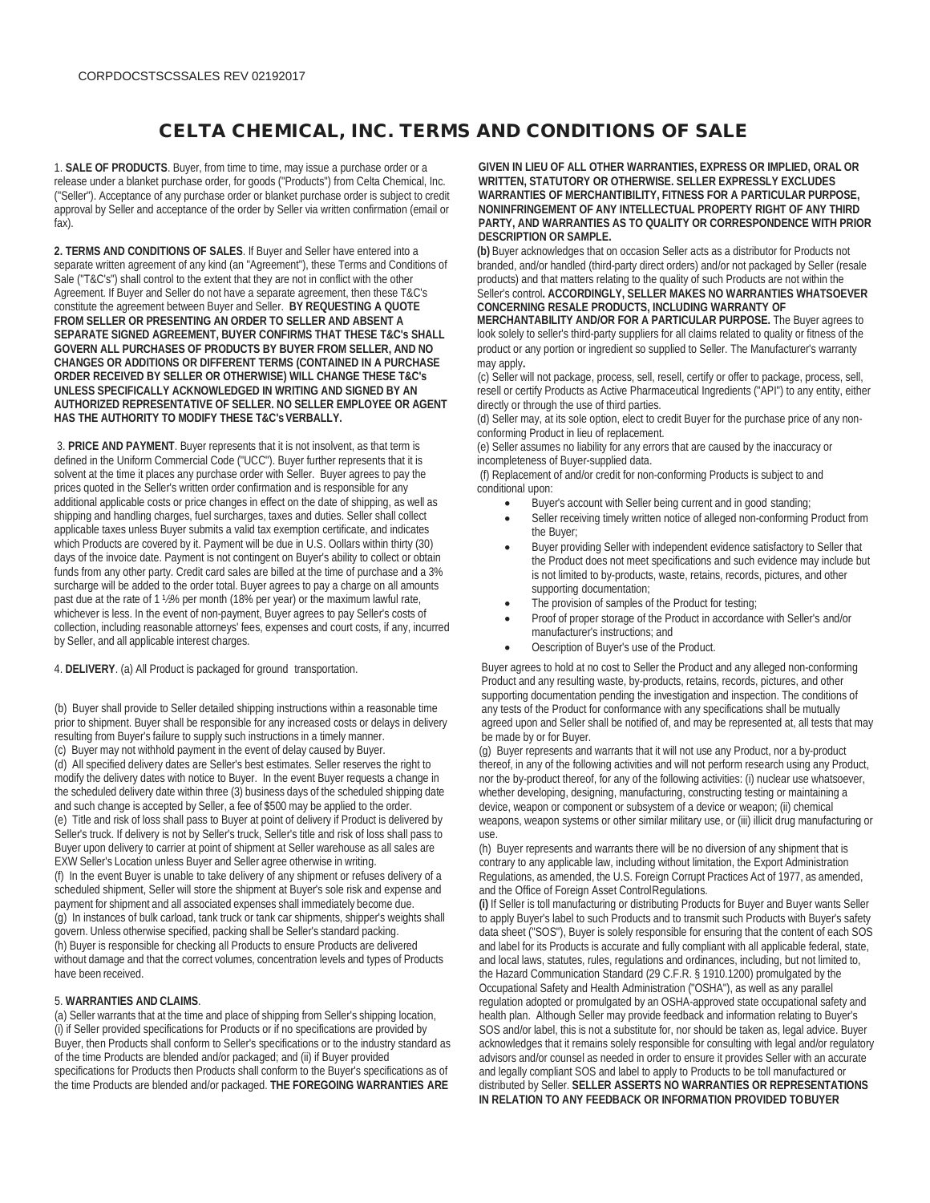## CELTA CHEMICAL, INC. TERMS AND CONDITIONS OF SALE

1. **SALE OF PRODUCTS**. Buyer, from time to time, may issue a purchase order or a release under a blanket purchase order, for goods ("Products") from Celta Chemical, Inc. ("Seller"). Acceptance of any purchase order or blanket purchase order is subject to credit approval by Seller and acceptance of the order by Seller via written confirmation (email or fax).

**2. TERMS AND CONDITIONS OF SALES**. If Buyer and Seller have entered into a separate written agreement of any kind (an "Agreement"), these Terms and Conditions of Sale ("T&C's") shall control to the extent that they are not in conflict with the other Agreement. If Buyer and Seller do not have a separate agreement, then these T&C's constitute the agreement between Buyer and Seller. **BY REQUESTING A QUOTE FROM SELLER OR PRESENTING AN ORDER TO SELLER AND ABSENT A SEPARATE SIGNED AGREEMENT, BUYER CONFIRMS THAT THESE T&C's SHALL GOVERN ALL PURCHASES OF PRODUCTS BY BUYER FROM SELLER, AND NO CHANGES OR ADDITIONS OR DIFFERENT TERMS (CONTAINED IN A PURCHASE ORDER RECEIVED BY SELLER OR OTHERWISE) WILL CHANGE THESE T&C's UNLESS SPECIFICALLY ACKNOWLEDGED IN WRITING AND SIGNED BY AN AUTHORIZED REPRESENTATIVE OF SELLER. NO SELLER EMPLOYEE OR AGENT HAS THE AUTHORITY TO MODIFY THESE T&C'sVERBALLY.**

3. **PRICE AND PAYMENT**. Buyer represents that it is not insolvent, as that term is defined in the Uniform Commercial Code ("UCC"). Buyer further represents that it is solvent at the time it places any purchase order with Seller. Buyer agrees to pay the prices quoted in the Seller's written order confirmation and is responsible for any additional applicable costs or price changes in effect on the date of shipping, as well as shipping and handling charges, fuel surcharges, taxes and duties. Seller shall collect applicable taxes unless Buyer submits a valid tax exemption certificate, and indicates which Products are covered by it. Payment will be due in U.S. Oollars within thirty (30) days of the invoice date. Payment is not contingent on Buyer's ability to collect or obtain funds from any other party. Credit card sales are billed at the time of purchase and a 3% surcharge will be added to the order total. Buyer agrees to pay a charge on all amounts past due at the rate of 1 ½% per month (18% per year) or the maximum lawful rate, whichever is less. In the event of non-payment, Buyer agrees to pay Seller's costs of collection, including reasonable attorneys' fees, expenses and court costs, if any, incurred by Seller, and all applicable interest charges.

4. **DELIVERY**. (a) All Product is packaged for ground transportation.

(b) Buyer shall provide to Seller detailed shipping instructions within a reasonable time prior to shipment. Buyer shall be responsible for any increased costs or delays in delivery resulting from Buyer's failure to supply such instructions in a timely manner. (c) Buyer may not withhold payment in the event of delay caused by Buyer. (d) All specified delivery dates are Seller's best estimates. Seller reserves the right to modify the delivery dates with notice to Buyer. In the event Buyer requests a change in the scheduled delivery date within three (3) business days of the scheduled shipping date and such change is accepted by Seller, a fee of \$500 may be applied to the order. (e) Title and risk of loss shall pass to Buyer at point of delivery if Product is delivered by Seller's truck. If delivery is not by Seller's truck, Seller's title and risk of loss shall pass to Buyer upon delivery to carrier at point of shipment at Seller warehouse as all sales are EXW Seller's Location unless Buyer and Seller agree otherwise in writing. (f) In the event Buyer is unable to take delivery of any shipment or refuses delivery of a scheduled shipment, Seller will store the shipment at Buyer's sole risk and expense and payment for shipment and all associated expenses shall immediately become due. (g) In instances of bulk carload, tank truck or tank car shipments, shipper's weights shall govern. Unless otherwise specified, packing shall be Seller's standard packing. (h) Buyer is responsible for checking all Products to ensure Products are delivered without damage and that the correct volumes, concentration levels and types of Products have been received.

## 5. **WARRANTIES AND CLAIMS**.

(a) Seller warrants that at the time and place of shipping from Seller's shipping location, (i) if Seller provided specifications for Products or if no specifications are provided by Buyer, then Products shall conform to Seller's specifications or to the industry standard as of the time Products are blended and/or packaged; and (ii) if Buyer provided specifications for Products then Products shall conform to the Buyer's specifications as of the time Products are blended and/or packaged. **THE FOREGOING WARRANTIES ARE**

**GIVEN IN LIEU OF ALL OTHER WARRANTIES, EXPRESS OR IMPLIED, ORAL OR WRITTEN, STATUTORY OR OTHERWISE. SELLER EXPRESSLY EXCLUDES WARRANTIES OF MERCHANTIBILITY, FITNESS FOR A PARTICULAR PURPOSE, NONINFRINGEMENT OF ANY INTELLECTUAL PROPERTY RIGHT OF ANY THIRD PARTY, AND WARRANTIES AS TO QUALITY OR CORRESPONDENCE WITH PRIOR DESCRIPTION OR SAMPLE.**

**(b)** Buyer acknowledges that on occasion Seller acts as a distributor for Products not branded, and/or handled (third-party direct orders) and/or not packaged by Seller (resale products) and that matters relating to the quality of such Products are not within the Seller's control**. ACCORDINGLY, SELLER MAKES NO WARRANTIES WHATSOEVER CONCERNING RESALE PRODUCTS, INCLUDING WARRANTY OF**

**MERCHANTABILITY AND/OR FOR A PARTICULAR PURPOSE.** The Buyer agrees to look solely to seller's third-party suppliers for all claims related to quality or fitness of the product or any portion or ingredient so supplied to Seller. The Manufacturer's warranty may apply**.**

(c) Seller will not package, process, sell, resell, certify or offer to package, process, sell, resell or certify Products as Active Pharmaceutical Ingredients ("API") to any entity, either directly or through the use of third parties.

(d) Seller may, at its sole option, elect to credit Buyer for the purchase price of any nonconforming Product in lieu of replacement.

(e) Seller assumes no liability for any errors that are caused by the inaccuracy or incompleteness of Buyer-supplied data.

(f) Replacement of and/or credit for non-conforming Products is subject to and conditional upon:

- Buyer's account with Seller being current and in good standing;
- Seller receiving timely written notice of alleged non-conforming Product from the Buyer;
- Buyer providing Seller with independent evidence satisfactory to Seller that the Product does not meet specifications and such evidence may include but is not limited to by-products, waste, retains, records, pictures, and other supporting documentation;
- The provision of samples of the Product for testing;
- Proof of proper storage of the Product in accordance with Seller's and/or manufacturer's instructions; and
- Oescription of Buyer's use of the Product.

Buyer agrees to hold at no cost to Seller the Product and any alleged non-conforming Product and any resulting waste, by-products, retains, records, pictures, and other supporting documentation pending the investigation and inspection. The conditions of any tests of the Product for conformance with any specifications shall be mutually agreed upon and Seller shall be notified of, and may be represented at, all tests that may be made by or for Buyer.

(g) Buyer represents and warrants that it will not use any Product, nor a by-product thereof, in any of the following activities and will not perform research using any Product, nor the by-product thereof, for any of the following activities: (i) nuclear use whatsoever, whether developing, designing, manufacturing, constructing testing or maintaining a device, weapon or component or subsystem of a device or weapon; (ii) chemical weapons, weapon systems or other similar military use, or (iii) illicit drug manufacturing or use.

(h) Buyer represents and warrants there will be no diversion of any shipment that is contrary to any applicable law, including without limitation, the Export Administration Regulations, as amended, the U.S. Foreign Corrupt Practices Act of 1977, as amended, and the Office of Foreign Asset ControlRegulations.

**(i)** If Seller is toll manufacturing or distributing Products for Buyer and Buyer wants Seller to apply Buyer's label to such Products and to transmit such Products with Buyer's safety data sheet ("SOS"), Buyer is solely responsible for ensuring that the content of each SOS and label for its Products is accurate and fully compliant with all applicable federal, state, and local laws, statutes, rules, regulations and ordinances, including, but not limited to, the Hazard Communication Standard (29 C.F.R. § 1910.1200) promulgated by the Occupational Safety and Health Administration ("OSHA"), as well as any parallel regulation adopted or promulgated by an OSHA-approved state occupational safety and health plan. Although Seller may provide feedback and information relating to Buyer's SOS and/or label, this is not a substitute for, nor should be taken as, legal advice. Buyer acknowledges that it remains solely responsible for consulting with legal and/or regulatory advisors and/or counsel as needed in order to ensure it provides Seller with an accurate and legally compliant SOS and label to apply to Products to be toll manufactured or distributed by Seller. **SELLER ASSERTS NO WARRANTIES OR REPRESENTATIONS IN RELATION TO ANY FEEDBACK OR INFORMATION PROVIDED TOBUYER**